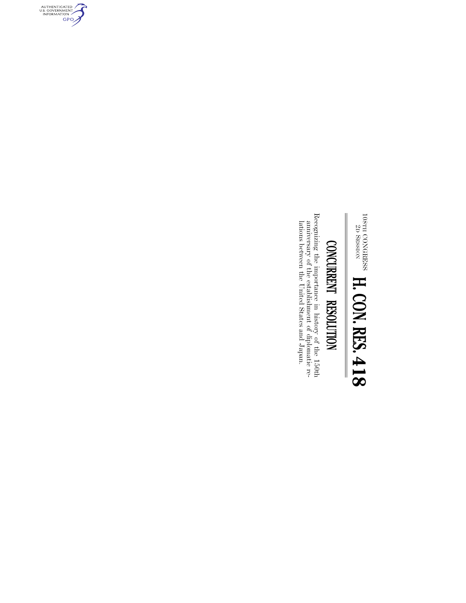$^{108}$ TH  $^{2D}$ CONGRESS SESSION **H. CON. RES. 418**

## CONCURRENT RESOLUTION **CONCURRENT RESOLUTION**

Recognizing the importance in history of the 150th anniversary of the establishment of diplomatic relations between the United States and Japan. Recognizing the importance in history of the 150th lations between the United States and Japan. anniversary of the establishment of diplomatic re-

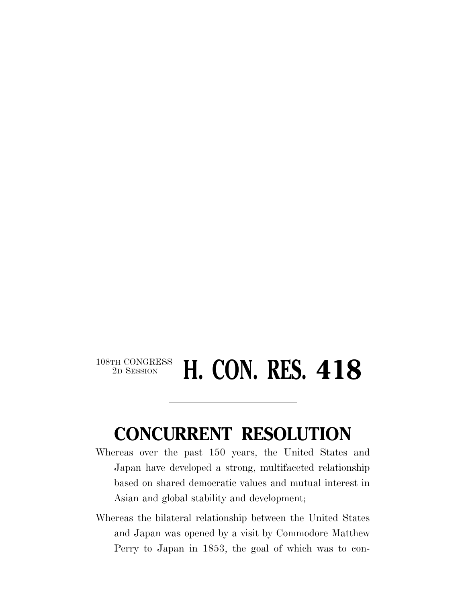## $\begin{array}{c} \textbf{108TH CONGRESS} \\ \textbf{2D SESION} \end{array}$ **H. CON. RES. 418**

## **CONCURRENT RESOLUTION**

- Whereas over the past 150 years, the United States and Japan have developed a strong, multifaceted relationship based on shared democratic values and mutual interest in Asian and global stability and development;
- Whereas the bilateral relationship between the United States and Japan was opened by a visit by Commodore Matthew Perry to Japan in 1853, the goal of which was to con-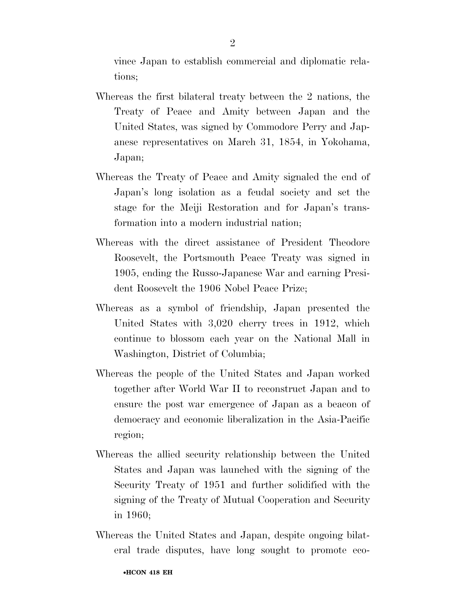vince Japan to establish commercial and diplomatic relations;

- Whereas the first bilateral treaty between the 2 nations, the Treaty of Peace and Amity between Japan and the United States, was signed by Commodore Perry and Japanese representatives on March 31, 1854, in Yokohama, Japan;
- Whereas the Treaty of Peace and Amity signaled the end of Japan's long isolation as a feudal society and set the stage for the Meiji Restoration and for Japan's transformation into a modern industrial nation;
- Whereas with the direct assistance of President Theodore Roosevelt, the Portsmouth Peace Treaty was signed in 1905, ending the Russo-Japanese War and earning President Roosevelt the 1906 Nobel Peace Prize;
- Whereas as a symbol of friendship, Japan presented the United States with 3,020 cherry trees in 1912, which continue to blossom each year on the National Mall in Washington, District of Columbia;
- Whereas the people of the United States and Japan worked together after World War II to reconstruct Japan and to ensure the post war emergence of Japan as a beacon of democracy and economic liberalization in the Asia-Pacific region;
- Whereas the allied security relationship between the United States and Japan was launched with the signing of the Security Treaty of 1951 and further solidified with the signing of the Treaty of Mutual Cooperation and Security in 1960;
- Whereas the United States and Japan, despite ongoing bilateral trade disputes, have long sought to promote eco-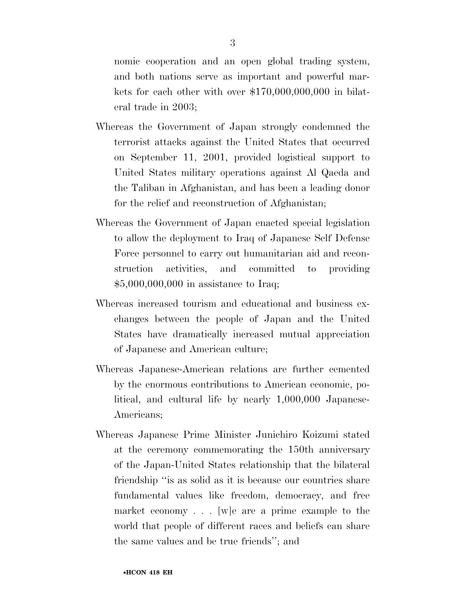nomic cooperation and an open global trading system, and both nations serve as important and powerful markets for each other with over \$170,000,000,000 in bilateral trade in 2003;

- Whereas the Government of Japan strongly condemned the terrorist attacks against the United States that occurred on September 11, 2001, provided logistical support to United States military operations against Al Qaeda and the Taliban in Afghanistan, and has been a leading donor for the relief and reconstruction of Afghanistan;
- Whereas the Government of Japan enacted special legislation to allow the deployment to Iraq of Japanese Self Defense Force personnel to carry out humanitarian aid and reconstruction activities, and committed to providing \$5,000,000,000 in assistance to Iraq;
- Whereas increased tourism and educational and business exchanges between the people of Japan and the United States have dramatically increased mutual appreciation of Japanese and American culture;
- Whereas Japanese-American relations are further cemented by the enormous contributions to American economic, political, and cultural life by nearly 1,000,000 Japanese-Americans;
- Whereas Japanese Prime Minister Junichiro Koizumi stated at the ceremony commemorating the 150th anniversary of the Japan-United States relationship that the bilateral friendship ''is as solid as it is because our countries share fundamental values like freedom, democracy, and free market economy . . . [w]e are a prime example to the world that people of different races and beliefs can share the same values and be true friends''; and